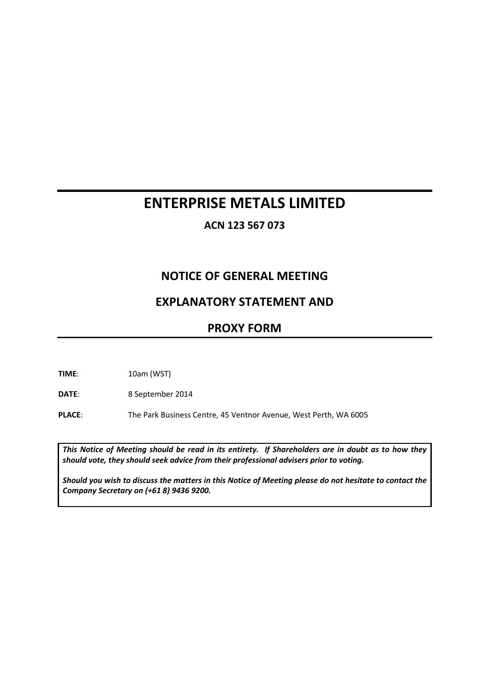# **ENTERPRISE METALS LIMITED**

**ACN 123 567 073**

## **NOTICE OF GENERAL MEETING**

## **EXPLANATORY STATEMENT AND**

## **PROXY FORM**

**TIME**: 10am (WST)

**DATE**: 8 September 2014

**PLACE**: The Park Business Centre, 45 Ventnor Avenue, West Perth, WA 6005

*This Notice of Meeting should be read in its entirety. If Shareholders are in doubt as to how they should vote, they should seek advice from their professional advisers prior to voting.* 

*Should you wish to discuss the matters in this Notice of Meeting please do not hesitate to contact the Company Secretary on (+61 8) 9436 9200.*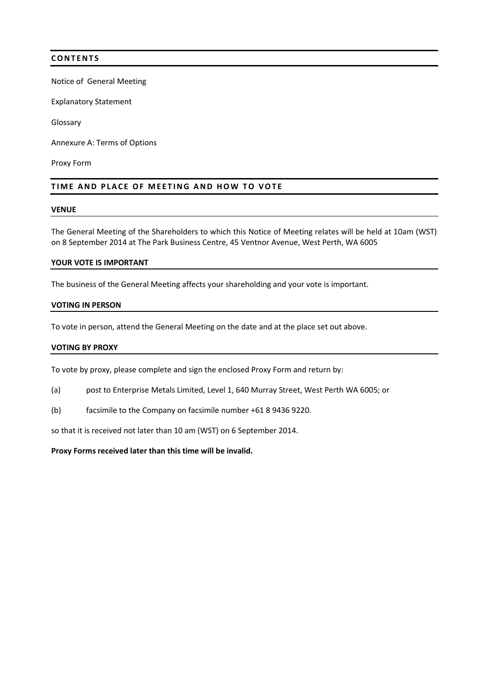### **C O N T E N T S**

Notice of General Meeting

Explanatory Statement

Glossary

Annexure A: Terms of Options

Proxy Form

#### **TIME AND PLACE OF MEETING AND HOW TO VOTE**

#### **VENUE**

The General Meeting of the Shareholders to which this Notice of Meeting relates will be held at 10am (WST) on 8 September 2014 at The Park Business Centre, 45 Ventnor Avenue, West Perth, WA 6005

#### **YOUR VOTE IS IMPORTANT**

The business of the General Meeting affects your shareholding and your vote is important.

#### **VOTING IN PERSON**

To vote in person, attend the General Meeting on the date and at the place set out above.

#### **VOTING BY PROXY**

To vote by proxy, please complete and sign the enclosed Proxy Form and return by:

- (a) post to Enterprise Metals Limited, Level 1, 640 Murray Street, West Perth WA 6005; or
- (b) facsimile to the Company on facsimile number +61 8 9436 9220.

so that it is received not later than 10 am (WST) on 6 September 2014.

**Proxy Forms received later than this time will be invalid.**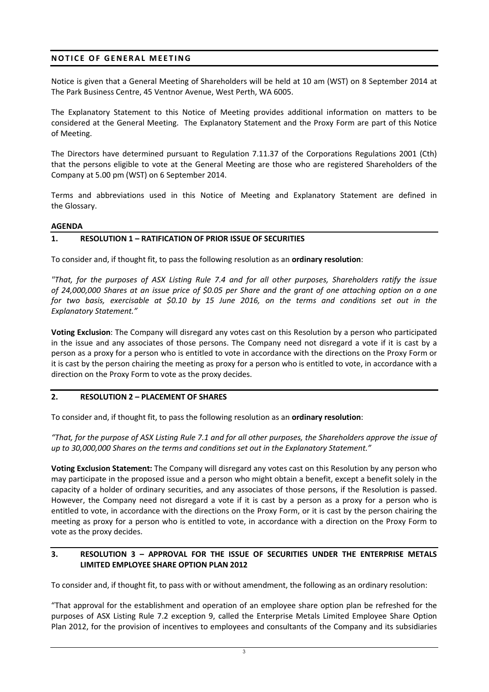## **NOTICE OF GENERAL MEETING**

Notice is given that a General Meeting of Shareholders will be held at 10 am (WST) on 8 September 2014 at The Park Business Centre, 45 Ventnor Avenue, West Perth, WA 6005.

The Explanatory Statement to this Notice of Meeting provides additional information on matters to be considered at the General Meeting. The Explanatory Statement and the Proxy Form are part of this Notice of Meeting.

The Directors have determined pursuant to Regulation 7.11.37 of the Corporations Regulations 2001 (Cth) that the persons eligible to vote at the General Meeting are those who are registered Shareholders of the Company at 5.00 pm (WST) on 6 September 2014.

Terms and abbreviations used in this Notice of Meeting and Explanatory Statement are defined in the Glossary.

#### **AGENDA**

### **1. RESOLUTION 1 – RATIFICATION OF PRIOR ISSUE OF SECURITIES**

To consider and, if thought fit, to pass the following resolution as an **ordinary resolution**:

*"That, for the purposes of ASX Listing Rule 7.4 and for all other purposes, Shareholders ratify the issue of 24,000,000 Shares at an issue price of \$0.05 per Share and the grant of one attaching option on a one for two basis, exercisable at \$0.10 by 15 June 2016, on the terms and conditions set out in the Explanatory Statement."* 

**Voting Exclusion**: The Company will disregard any votes cast on this Resolution by a person who participated in the issue and any associates of those persons. The Company need not disregard a vote if it is cast by a person as a proxy for a person who is entitled to vote in accordance with the directions on the Proxy Form or it is cast by the person chairing the meeting as proxy for a person who is entitled to vote, in accordance with a direction on the Proxy Form to vote as the proxy decides.

### **2. RESOLUTION 2 – PLACEMENT OF SHARES**

To consider and, if thought fit, to pass the following resolution as an **ordinary resolution**:

*"That, for the purpose of ASX Listing Rule 7.1 and for all other purposes, the Shareholders approve the issue of up to 30,000,000 Shares on the terms and conditions set out in the Explanatory Statement."* 

**Voting Exclusion Statement:** The Company will disregard any votes cast on this Resolution by any person who may participate in the proposed issue and a person who might obtain a benefit, except a benefit solely in the capacity of a holder of ordinary securities, and any associates of those persons, if the Resolution is passed. However, the Company need not disregard a vote if it is cast by a person as a proxy for a person who is entitled to vote, in accordance with the directions on the Proxy Form, or it is cast by the person chairing the meeting as proxy for a person who is entitled to vote, in accordance with a direction on the Proxy Form to vote as the proxy decides.

### **3. RESOLUTION 3 – APPROVAL FOR THE ISSUE OF SECURITIES UNDER THE ENTERPRISE METALS LIMITED EMPLOYEE SHARE OPTION PLAN 2012**

To consider and, if thought fit, to pass with or without amendment, the following as an ordinary resolution:

"That approval for the establishment and operation of an employee share option plan be refreshed for the purposes of ASX Listing Rule 7.2 exception 9, called the Enterprise Metals Limited Employee Share Option Plan 2012, for the provision of incentives to employees and consultants of the Company and its subsidiaries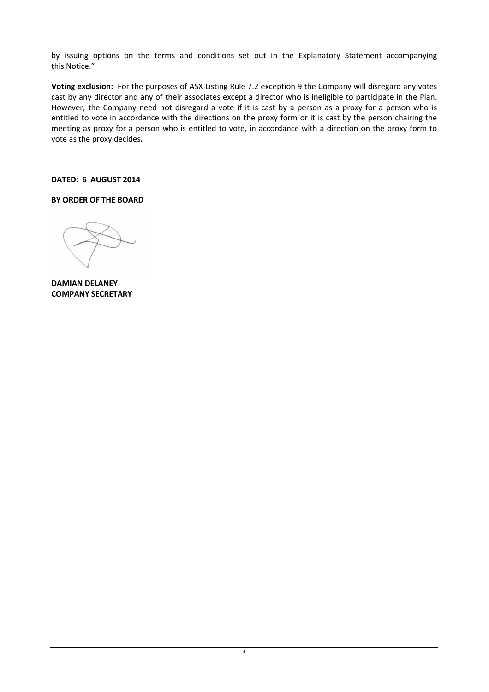by issuing options on the terms and conditions set out in the Explanatory Statement accompanying this Notice."

**Voting exclusion:** For the purposes of ASX Listing Rule 7.2 exception 9 the Company will disregard any votes cast by any director and any of their associates except a director who is ineligible to participate in the Plan. However, the Company need not disregard a vote if it is cast by a person as a proxy for a person who is entitled to vote in accordance with the directions on the proxy form or it is cast by the person chairing the meeting as proxy for a person who is entitled to vote, in accordance with a direction on the proxy form to vote as the proxy decides**.**

**DATED: 6 AUGUST 2014** 

**BY ORDER OF THE BOARD** 

**DAMIAN DELANEY COMPANY SECRETARY**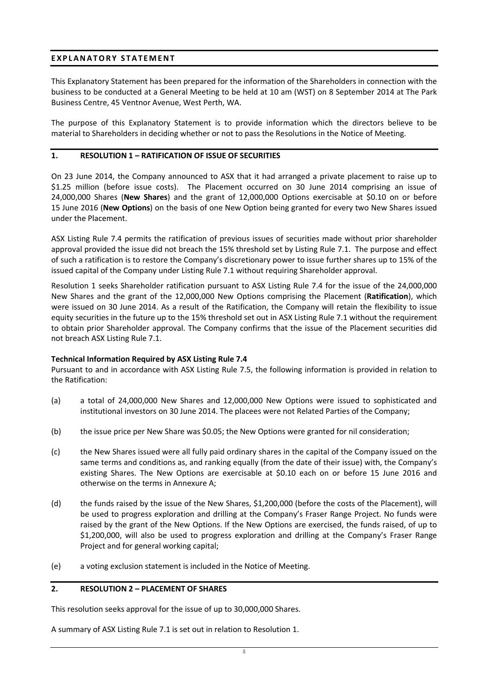### **E X P L A N A T O R Y S T A T E M E N T**

This Explanatory Statement has been prepared for the information of the Shareholders in connection with the business to be conducted at a General Meeting to be held at 10 am (WST) on 8 September 2014 at The Park Business Centre, 45 Ventnor Avenue, West Perth, WA.

The purpose of this Explanatory Statement is to provide information which the directors believe to be material to Shareholders in deciding whether or not to pass the Resolutions in the Notice of Meeting.

### **1. RESOLUTION 1 – RATIFICATION OF ISSUE OF SECURITIES**

On 23 June 2014, the Company announced to ASX that it had arranged a private placement to raise up to \$1.25 million (before issue costs). The Placement occurred on 30 June 2014 comprising an issue of 24,000,000 Shares (**New Shares**) and the grant of 12,000,000 Options exercisable at \$0.10 on or before 15 June 2016 (**New Options**) on the basis of one New Option being granted for every two New Shares issued under the Placement.

ASX Listing Rule 7.4 permits the ratification of previous issues of securities made without prior shareholder approval provided the issue did not breach the 15% threshold set by Listing Rule 7.1. The purpose and effect of such a ratification is to restore the Company's discretionary power to issue further shares up to 15% of the issued capital of the Company under Listing Rule 7.1 without requiring Shareholder approval.

Resolution 1 seeks Shareholder ratification pursuant to ASX Listing Rule 7.4 for the issue of the 24,000,000 New Shares and the grant of the 12,000,000 New Options comprising the Placement (**Ratification**), which were issued on 30 June 2014. As a result of the Ratification, the Company will retain the flexibility to issue equity securities in the future up to the 15% threshold set out in ASX Listing Rule 7.1 without the requirement to obtain prior Shareholder approval. The Company confirms that the issue of the Placement securities did not breach ASX Listing Rule 7.1.

### **Technical Information Required by ASX Listing Rule 7.4**

Pursuant to and in accordance with ASX Listing Rule 7.5, the following information is provided in relation to the Ratification:

- (a) a total of 24,000,000 New Shares and 12,000,000 New Options were issued to sophisticated and institutional investors on 30 June 2014. The placees were not Related Parties of the Company;
- (b) the issue price per New Share was \$0.05; the New Options were granted for nil consideration;
- (c) the New Shares issued were all fully paid ordinary shares in the capital of the Company issued on the same terms and conditions as, and ranking equally (from the date of their issue) with, the Company's existing Shares. The New Options are exercisable at \$0.10 each on or before 15 June 2016 and otherwise on the terms in Annexure A;
- (d) the funds raised by the issue of the New Shares, \$1,200,000 (before the costs of the Placement), will be used to progress exploration and drilling at the Company's Fraser Range Project. No funds were raised by the grant of the New Options. If the New Options are exercised, the funds raised, of up to \$1,200,000, will also be used to progress exploration and drilling at the Company's Fraser Range Project and for general working capital;
- (e) a voting exclusion statement is included in the Notice of Meeting.

### **2. RESOLUTION 2 – PLACEMENT OF SHARES**

This resolution seeks approval for the issue of up to 30,000,000 Shares.

A summary of ASX Listing Rule 7.1 is set out in relation to Resolution 1.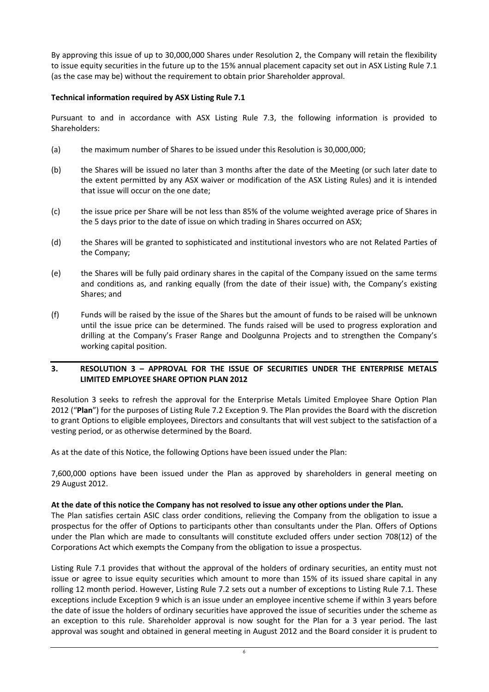By approving this issue of up to 30,000,000 Shares under Resolution 2, the Company will retain the flexibility to issue equity securities in the future up to the 15% annual placement capacity set out in ASX Listing Rule 7.1 (as the case may be) without the requirement to obtain prior Shareholder approval.

### **Technical information required by ASX Listing Rule 7.1**

Pursuant to and in accordance with ASX Listing Rule 7.3, the following information is provided to Shareholders:

- (a) the maximum number of Shares to be issued under this Resolution is 30,000,000;
- (b) the Shares will be issued no later than 3 months after the date of the Meeting (or such later date to the extent permitted by any ASX waiver or modification of the ASX Listing Rules) and it is intended that issue will occur on the one date;
- (c) the issue price per Share will be not less than 85% of the volume weighted average price of Shares in the 5 days prior to the date of issue on which trading in Shares occurred on ASX;
- (d) the Shares will be granted to sophisticated and institutional investors who are not Related Parties of the Company;
- (e) the Shares will be fully paid ordinary shares in the capital of the Company issued on the same terms and conditions as, and ranking equally (from the date of their issue) with, the Company's existing Shares; and
- (f) Funds will be raised by the issue of the Shares but the amount of funds to be raised will be unknown until the issue price can be determined. The funds raised will be used to progress exploration and drilling at the Company's Fraser Range and Doolgunna Projects and to strengthen the Company's working capital position.

### **3. RESOLUTION 3 – APPROVAL FOR THE ISSUE OF SECURITIES UNDER THE ENTERPRISE METALS LIMITED EMPLOYEE SHARE OPTION PLAN 2012**

Resolution 3 seeks to refresh the approval for the Enterprise Metals Limited Employee Share Option Plan 2012 ("**Plan**") for the purposes of Listing Rule 7.2 Exception 9. The Plan provides the Board with the discretion to grant Options to eligible employees, Directors and consultants that will vest subject to the satisfaction of a vesting period, or as otherwise determined by the Board.

As at the date of this Notice, the following Options have been issued under the Plan:

7,600,000 options have been issued under the Plan as approved by shareholders in general meeting on 29 August 2012.

### **At the date of this notice the Company has not resolved to issue any other options under the Plan.**

The Plan satisfies certain ASIC class order conditions, relieving the Company from the obligation to issue a prospectus for the offer of Options to participants other than consultants under the Plan. Offers of Options under the Plan which are made to consultants will constitute excluded offers under section 708(12) of the Corporations Act which exempts the Company from the obligation to issue a prospectus.

Listing Rule 7.1 provides that without the approval of the holders of ordinary securities, an entity must not issue or agree to issue equity securities which amount to more than 15% of its issued share capital in any rolling 12 month period. However, Listing Rule 7.2 sets out a number of exceptions to Listing Rule 7.1. These exceptions include Exception 9 which is an issue under an employee incentive scheme if within 3 years before the date of issue the holders of ordinary securities have approved the issue of securities under the scheme as an exception to this rule. Shareholder approval is now sought for the Plan for a 3 year period. The last approval was sought and obtained in general meeting in August 2012 and the Board consider it is prudent to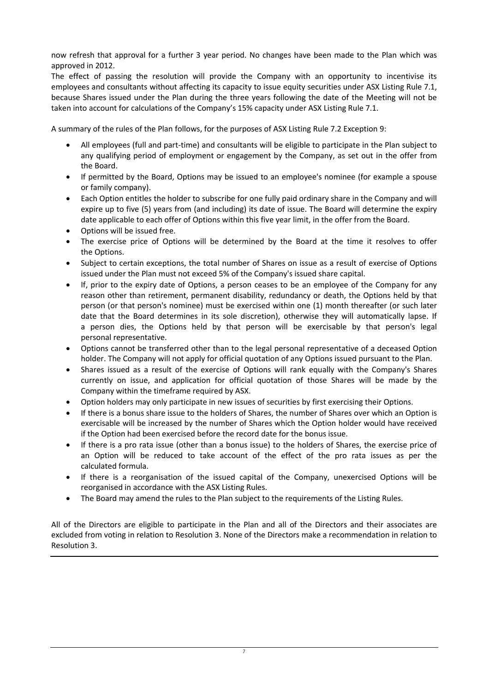now refresh that approval for a further 3 year period. No changes have been made to the Plan which was approved in 2012.

The effect of passing the resolution will provide the Company with an opportunity to incentivise its employees and consultants without affecting its capacity to issue equity securities under ASX Listing Rule 7.1, because Shares issued under the Plan during the three years following the date of the Meeting will not be taken into account for calculations of the Company's 15% capacity under ASX Listing Rule 7.1.

A summary of the rules of the Plan follows, for the purposes of ASX Listing Rule 7.2 Exception 9:

- All employees (full and part-time) and consultants will be eligible to participate in the Plan subject to any qualifying period of employment or engagement by the Company, as set out in the offer from the Board.
- If permitted by the Board, Options may be issued to an employee's nominee (for example a spouse or family company).
- Each Option entitles the holder to subscribe for one fully paid ordinary share in the Company and will expire up to five (5) years from (and including) its date of issue. The Board will determine the expiry date applicable to each offer of Options within this five year limit, in the offer from the Board.
- Options will be issued free.
- The exercise price of Options will be determined by the Board at the time it resolves to offer the Options.
- Subject to certain exceptions, the total number of Shares on issue as a result of exercise of Options issued under the Plan must not exceed 5% of the Company's issued share capital.
- If, prior to the expiry date of Options, a person ceases to be an employee of the Company for any reason other than retirement, permanent disability, redundancy or death, the Options held by that person (or that person's nominee) must be exercised within one (1) month thereafter (or such later date that the Board determines in its sole discretion), otherwise they will automatically lapse. If a person dies, the Options held by that person will be exercisable by that person's legal personal representative.
- Options cannot be transferred other than to the legal personal representative of a deceased Option holder. The Company will not apply for official quotation of any Options issued pursuant to the Plan.
- Shares issued as a result of the exercise of Options will rank equally with the Company's Shares currently on issue, and application for official quotation of those Shares will be made by the Company within the timeframe required by ASX.
- Option holders may only participate in new issues of securities by first exercising their Options.
- If there is a bonus share issue to the holders of Shares, the number of Shares over which an Option is exercisable will be increased by the number of Shares which the Option holder would have received if the Option had been exercised before the record date for the bonus issue.
- If there is a pro rata issue (other than a bonus issue) to the holders of Shares, the exercise price of an Option will be reduced to take account of the effect of the pro rata issues as per the calculated formula.
- If there is a reorganisation of the issued capital of the Company, unexercised Options will be reorganised in accordance with the ASX Listing Rules.
- The Board may amend the rules to the Plan subject to the requirements of the Listing Rules.

All of the Directors are eligible to participate in the Plan and all of the Directors and their associates are excluded from voting in relation to Resolution 3. None of the Directors make a recommendation in relation to Resolution 3.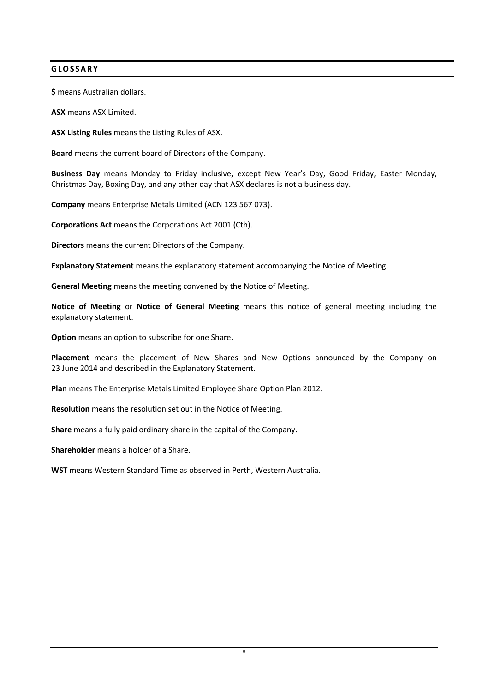### **G L O S S A R Y**

**\$** means Australian dollars.

**ASX** means ASX Limited.

**ASX Listing Rules** means the Listing Rules of ASX.

**Board** means the current board of Directors of the Company.

**Business Day** means Monday to Friday inclusive, except New Year's Day, Good Friday, Easter Monday, Christmas Day, Boxing Day, and any other day that ASX declares is not a business day.

**Company** means Enterprise Metals Limited (ACN 123 567 073).

**Corporations Act** means the Corporations Act 2001 (Cth).

**Directors** means the current Directors of the Company.

**Explanatory Statement** means the explanatory statement accompanying the Notice of Meeting.

**General Meeting** means the meeting convened by the Notice of Meeting.

**Notice of Meeting** or **Notice of General Meeting** means this notice of general meeting including the explanatory statement.

**Option** means an option to subscribe for one Share.

**Placement** means the placement of New Shares and New Options announced by the Company on 23 June 2014 and described in the Explanatory Statement.

**Plan** means The Enterprise Metals Limited Employee Share Option Plan 2012.

**Resolution** means the resolution set out in the Notice of Meeting.

**Share** means a fully paid ordinary share in the capital of the Company.

**Shareholder** means a holder of a Share.

**WST** means Western Standard Time as observed in Perth, Western Australia.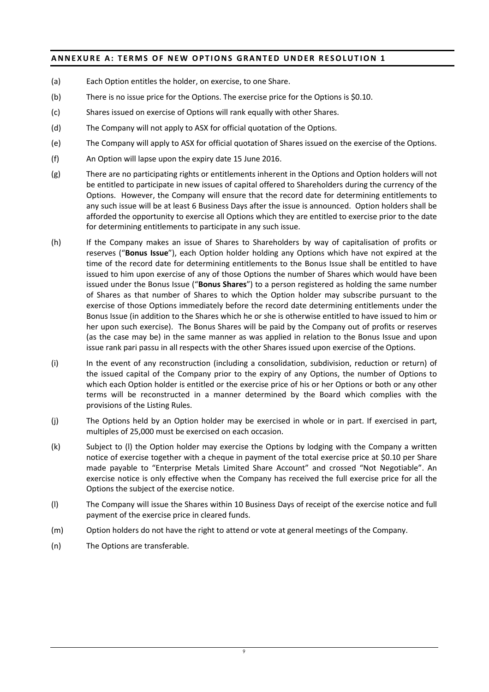## **ANNEXURE A: TERMS OF NEW OPTIONS GRANTED UNDER RESOLUTION 1**

- (a) Each Option entitles the holder, on exercise, to one Share.
- (b) There is no issue price for the Options. The exercise price for the Options is \$0.10.
- (c) Shares issued on exercise of Options will rank equally with other Shares.
- (d) The Company will not apply to ASX for official quotation of the Options.
- (e) The Company will apply to ASX for official quotation of Shares issued on the exercise of the Options.
- (f) An Option will lapse upon the expiry date 15 June 2016.
- (g) There are no participating rights or entitlements inherent in the Options and Option holders will not be entitled to participate in new issues of capital offered to Shareholders during the currency of the Options. However, the Company will ensure that the record date for determining entitlements to any such issue will be at least 6 Business Days after the issue is announced. Option holders shall be afforded the opportunity to exercise all Options which they are entitled to exercise prior to the date for determining entitlements to participate in any such issue.
- (h) If the Company makes an issue of Shares to Shareholders by way of capitalisation of profits or reserves ("**Bonus Issue**"), each Option holder holding any Options which have not expired at the time of the record date for determining entitlements to the Bonus Issue shall be entitled to have issued to him upon exercise of any of those Options the number of Shares which would have been issued under the Bonus Issue ("**Bonus Shares**") to a person registered as holding the same number of Shares as that number of Shares to which the Option holder may subscribe pursuant to the exercise of those Options immediately before the record date determining entitlements under the Bonus Issue (in addition to the Shares which he or she is otherwise entitled to have issued to him or her upon such exercise). The Bonus Shares will be paid by the Company out of profits or reserves (as the case may be) in the same manner as was applied in relation to the Bonus Issue and upon issue rank pari passu in all respects with the other Shares issued upon exercise of the Options.
- (i) In the event of any reconstruction (including a consolidation, subdivision, reduction or return) of the issued capital of the Company prior to the expiry of any Options, the number of Options to which each Option holder is entitled or the exercise price of his or her Options or both or any other terms will be reconstructed in a manner determined by the Board which complies with the provisions of the Listing Rules.
- (j) The Options held by an Option holder may be exercised in whole or in part. If exercised in part, multiples of 25,000 must be exercised on each occasion.
- (k) Subject to (l) the Option holder may exercise the Options by lodging with the Company a written notice of exercise together with a cheque in payment of the total exercise price at \$0.10 per Share made payable to "Enterprise Metals Limited Share Account" and crossed "Not Negotiable". An exercise notice is only effective when the Company has received the full exercise price for all the Options the subject of the exercise notice.
- (l) The Company will issue the Shares within 10 Business Days of receipt of the exercise notice and full payment of the exercise price in cleared funds.
- (m) Option holders do not have the right to attend or vote at general meetings of the Company.
- (n) The Options are transferable.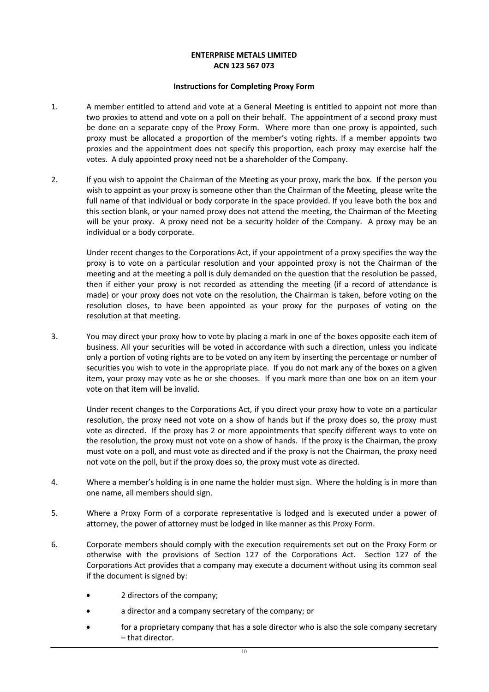#### **ENTERPRISE METALS LIMITED ACN 123 567 073**

#### **Instructions for Completing Proxy Form**

- 1. A member entitled to attend and vote at a General Meeting is entitled to appoint not more than two proxies to attend and vote on a poll on their behalf. The appointment of a second proxy must be done on a separate copy of the Proxy Form. Where more than one proxy is appointed, such proxy must be allocated a proportion of the member's voting rights. If a member appoints two proxies and the appointment does not specify this proportion, each proxy may exercise half the votes. A duly appointed proxy need not be a shareholder of the Company.
- 2. If you wish to appoint the Chairman of the Meeting as your proxy, mark the box. If the person you wish to appoint as your proxy is someone other than the Chairman of the Meeting, please write the full name of that individual or body corporate in the space provided. If you leave both the box and this section blank, or your named proxy does not attend the meeting, the Chairman of the Meeting will be your proxy. A proxy need not be a security holder of the Company. A proxy may be an individual or a body corporate.

Under recent changes to the Corporations Act, if your appointment of a proxy specifies the way the proxy is to vote on a particular resolution and your appointed proxy is not the Chairman of the meeting and at the meeting a poll is duly demanded on the question that the resolution be passed, then if either your proxy is not recorded as attending the meeting (if a record of attendance is made) or your proxy does not vote on the resolution, the Chairman is taken, before voting on the resolution closes, to have been appointed as your proxy for the purposes of voting on the resolution at that meeting.

3. You may direct your proxy how to vote by placing a mark in one of the boxes opposite each item of business. All your securities will be voted in accordance with such a direction, unless you indicate only a portion of voting rights are to be voted on any item by inserting the percentage or number of securities you wish to vote in the appropriate place. If you do not mark any of the boxes on a given item, your proxy may vote as he or she chooses. If you mark more than one box on an item your vote on that item will be invalid.

Under recent changes to the Corporations Act, if you direct your proxy how to vote on a particular resolution, the proxy need not vote on a show of hands but if the proxy does so, the proxy must vote as directed. If the proxy has 2 or more appointments that specify different ways to vote on the resolution, the proxy must not vote on a show of hands. If the proxy is the Chairman, the proxy must vote on a poll, and must vote as directed and if the proxy is not the Chairman, the proxy need not vote on the poll, but if the proxy does so, the proxy must vote as directed.

- 4. Where a member's holding is in one name the holder must sign. Where the holding is in more than one name, all members should sign.
- 5. Where a Proxy Form of a corporate representative is lodged and is executed under a power of attorney, the power of attorney must be lodged in like manner as this Proxy Form.
- 6. Corporate members should comply with the execution requirements set out on the Proxy Form or otherwise with the provisions of Section 127 of the Corporations Act. Section 127 of the Corporations Act provides that a company may execute a document without using its common seal if the document is signed by:
	- 2 directors of the company;
	- a director and a company secretary of the company; or
	- for a proprietary company that has a sole director who is also the sole company secretary – that director.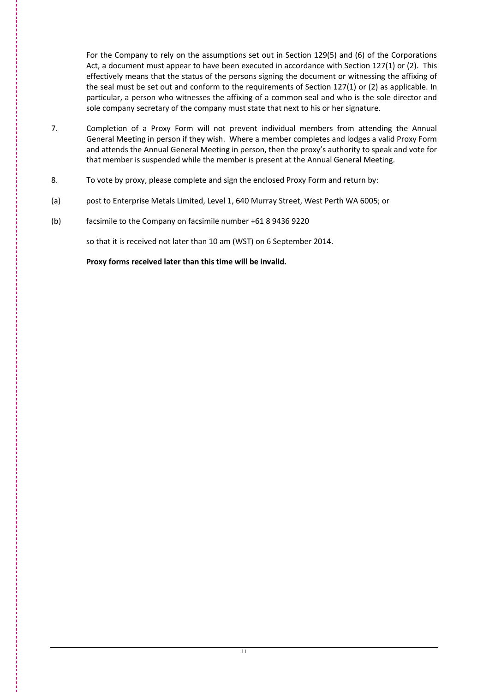For the Company to rely on the assumptions set out in Section 129(5) and (6) of the Corporations Act, a document must appear to have been executed in accordance with Section 127(1) or (2). This effectively means that the status of the persons signing the document or witnessing the affixing of the seal must be set out and conform to the requirements of Section 127(1) or (2) as applicable. In particular, a person who witnesses the affixing of a common seal and who is the sole director and sole company secretary of the company must state that next to his or her signature.

- 7. Completion of a Proxy Form will not prevent individual members from attending the Annual General Meeting in person if they wish. Where a member completes and lodges a valid Proxy Form and attends the Annual General Meeting in person, then the proxy's authority to speak and vote for that member is suspended while the member is present at the Annual General Meeting.
- 8. To vote by proxy, please complete and sign the enclosed Proxy Form and return by:
- (a) post to Enterprise Metals Limited, Level 1, 640 Murray Street, West Perth WA 6005; or
- (b) facsimile to the Company on facsimile number +61 8 9436 9220

so that it is received not later than 10 am (WST) on 6 September 2014.

 **Proxy forms received later than this time will be invalid.**